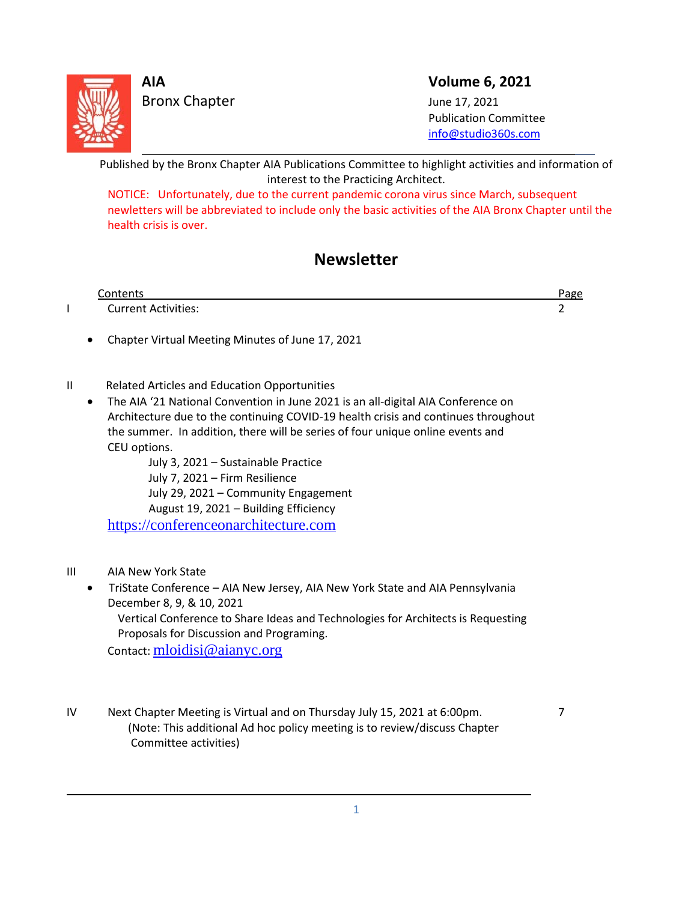

L

L

Bronx Chapter June 17, 2021

**AIA Volume 6, 2021**

 Publication Committee [info@studio360s.com](mailto:info@studio360s.com)

Published by the Bronx Chapter AIA Publications Committee to highlight activities and information of interest to the Practicing Architect.

NOTICE: Unfortunately, due to the current pandemic corona virus since March, subsequent newletters will be abbreviated to include only the basic activities of the AIA Bronx Chapter until the health crisis is over.

# **Newsletter**

|                           | Contents                                                                                                                                                                                                                                                                                                                                                                                                                                                                                                                   | Page |
|---------------------------|----------------------------------------------------------------------------------------------------------------------------------------------------------------------------------------------------------------------------------------------------------------------------------------------------------------------------------------------------------------------------------------------------------------------------------------------------------------------------------------------------------------------------|------|
| T                         | <b>Current Activities:</b>                                                                                                                                                                                                                                                                                                                                                                                                                                                                                                 | 2    |
|                           | Chapter Virtual Meeting Minutes of June 17, 2021                                                                                                                                                                                                                                                                                                                                                                                                                                                                           |      |
| $\mathbf{H}$<br>$\bullet$ | Related Articles and Education Opportunities<br>The AIA '21 National Convention in June 2021 is an all-digital AIA Conference on<br>Architecture due to the continuing COVID-19 health crisis and continues throughout<br>the summer. In addition, there will be series of four unique online events and<br>CEU options.<br>July 3, 2021 - Sustainable Practice<br>July 7, 2021 - Firm Resilience<br>July 29, 2021 - Community Engagement<br>August 19, 2021 - Building Efficiency<br>https://conferenceonarchitecture.com |      |
| III                       | <b>AIA New York State</b><br>TriState Conference - AIA New Jersey, AIA New York State and AIA Pennsylvania<br>December 8, 9, & 10, 2021<br>Vertical Conference to Share Ideas and Technologies for Architects is Requesting<br>Proposals for Discussion and Programing.<br>Contact: mloidisi@aianyc.org                                                                                                                                                                                                                    |      |
| IV                        | Next Chapter Meeting is Virtual and on Thursday July 15, 2021 at 6:00pm.<br>(Note: This additional Ad hoc policy meeting is to review/discuss Chapter<br>Committee activities)                                                                                                                                                                                                                                                                                                                                             | 7    |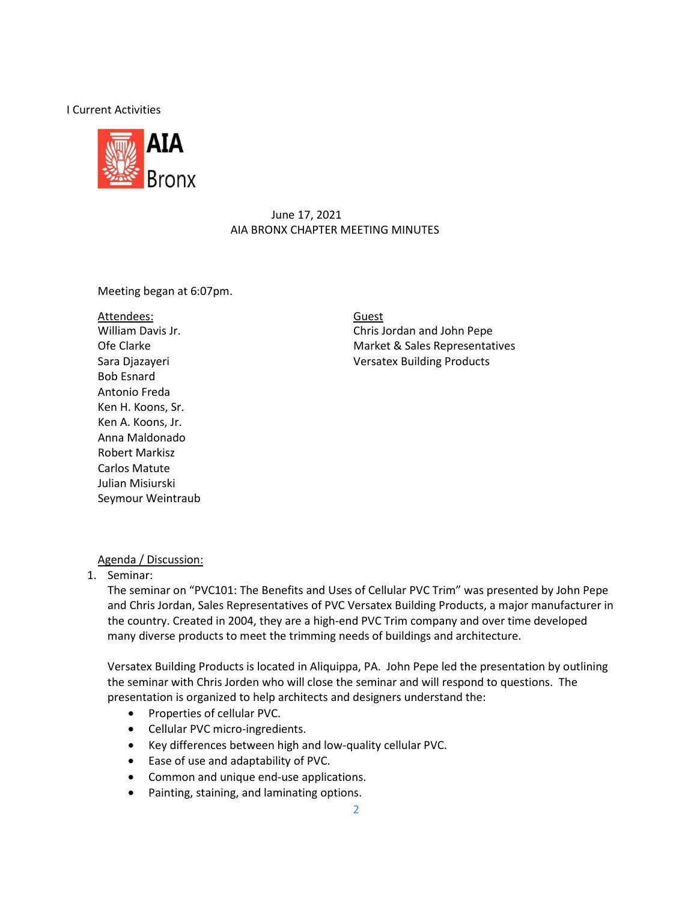#### I Current Activities



# June 17, 2021 AIA BRONX CHAPTER MEETING MINUTES

#### Meeting began at 6:07pm.

Attendees: Bob Esnard Antonio Freda Ken H. Koons, Sr. Ken A. Koons, Jr. Anna Maldonado Robert Markisz Carlos Matute Julian Misiurski Seymour Weintraub

William Davis Jr. Chris Jordan and John Pepe Guest Ofe Clarke **Market & Sales Representatives** Market & Sales Representatives Sara Djazayeri Versatex Building Products

#### Agenda / Discussion:

1. Seminar:

The seminar on "PVC101: The Benefits and Uses of Cellular PVC Trim" was presented by John Pepe and Chris Jordan, Sales Representatives of PVC Versatex Building Products, a major manufacturer in the country. Created in 2004, they are a high-end PVC Trim company and over time developed many diverse products to meet the trimming needs of buildings and architecture.

Versatex Building Products is located in Aliquippa, PA. John Pepe led the presentation by outlining the seminar with Chris Jorden who will close the seminar and will respond to questions. The presentation is organized to help architects and designers understand the:

- Properties of cellular PVC.
- Cellular PVC micro-ingredients.
- Key differences between high and low-quality cellular PVC.
- Ease of use and adaptability of PVC.
- Common and unique end-use applications.
- Painting, staining, and laminating options.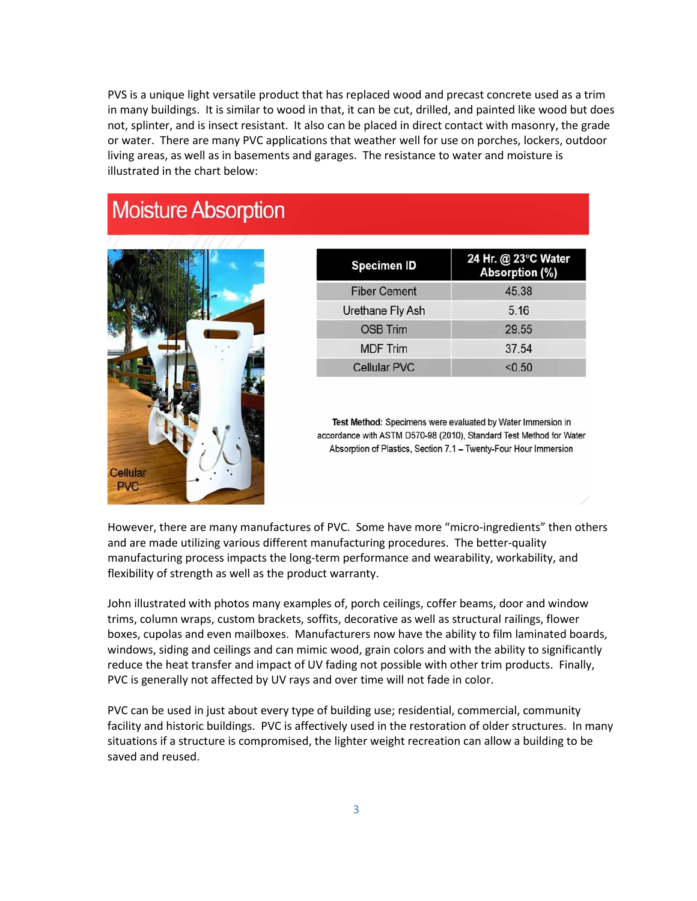PVS is a unique light versatile product that has replaced wood and precast concrete used as a trim in many buildings. It is similar to wood in that, it can be cut, drilled, and painted like wood but does not, splinter, and is insect resistant. It also can be placed in direct contact with masonry, the grade or water. There are many PVC applications that weather well for use on porches, lockers, outdoor living areas, as well as in basements and garages. The resistance to water and moisture is illustrated in the chart below:

# **Moisture Absorption**



| <b>Specimen ID</b>  | 24 Hr. @ 23°C Water<br><b>Absorption (%)</b> |
|---------------------|----------------------------------------------|
| <b>Fiber Cement</b> | 45.38                                        |
| Urethane Fly Ash    | 5.16                                         |
| <b>OSB Trim</b>     | 29.55                                        |
| <b>MDF Trim</b>     | 37.54                                        |
| <b>Cellular PVC</b> | < 0.50                                       |

Test Method: Specimens were evaluated by Water Immersion in accordance with ASTM D570-98 (2010), Standard Test Method for Water Absorption of Plastics, Section 7.1 - Twenty-Four Hour Immersion

However, there are many manufactures of PVC. Some have more "micro-ingredients" then others and are made utilizing various different manufacturing procedures. The better-quality manufacturing process impacts the long-term performance and wearability, workability, and flexibility of strength as well as the product warranty.

John illustrated with photos many examples of, porch ceilings, coffer beams, door and window trims, column wraps, custom brackets, soffits, decorative as well as structural railings, flower boxes, cupolas and even mailboxes. Manufacturers now have the ability to film laminated boards, windows, siding and ceilings and can mimic wood, grain colors and with the ability to significantly reduce the heat transfer and impact of UV fading not possible with other trim products. Finally, PVC is generally not affected by UV rays and over time will not fade in color.

PVC can be used in just about every type of building use; residential, commercial, community facility and historic buildings. PVC is affectively used in the restoration of older structures. In many situations if a structure is compromised, the lighter weight recreation can allow a building to be saved and reused.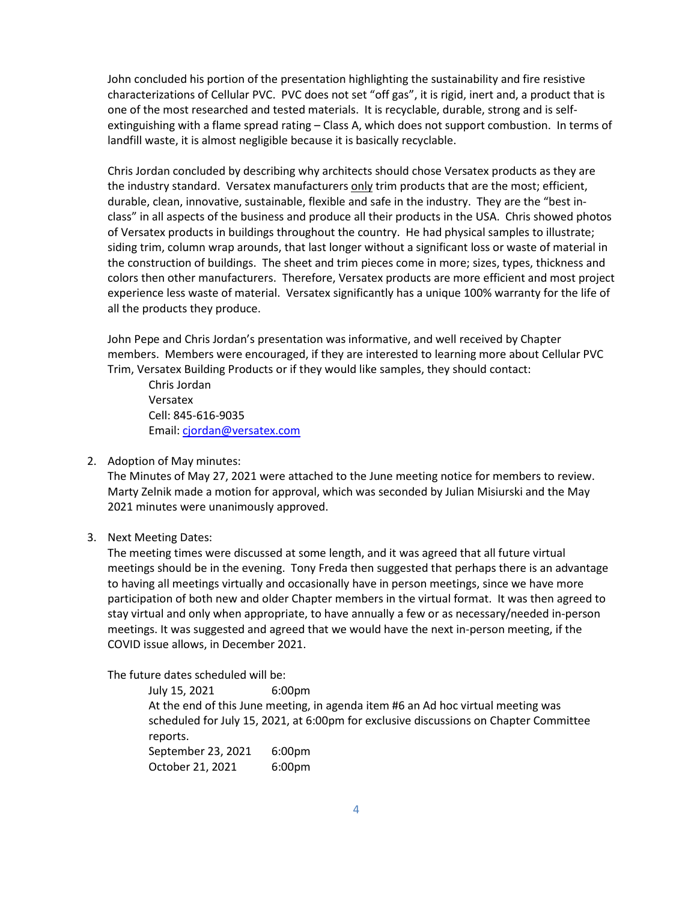John concluded his portion of the presentation highlighting the sustainability and fire resistive characterizations of Cellular PVC. PVC does not set "off gas", it is rigid, inert and, a product that is one of the most researched and tested materials. It is recyclable, durable, strong and is selfextinguishing with a flame spread rating – Class A, which does not support combustion. In terms of landfill waste, it is almost negligible because it is basically recyclable.

Chris Jordan concluded by describing why architects should chose Versatex products as they are the industry standard. Versatex manufacturers only trim products that are the most; efficient, durable, clean, innovative, sustainable, flexible and safe in the industry. They are the "best inclass" in all aspects of the business and produce all their products in the USA. Chris showed photos of Versatex products in buildings throughout the country. He had physical samples to illustrate; siding trim, column wrap arounds, that last longer without a significant loss or waste of material in the construction of buildings. The sheet and trim pieces come in more; sizes, types, thickness and colors then other manufacturers. Therefore, Versatex products are more efficient and most project experience less waste of material. Versatex significantly has a unique 100% warranty for the life of all the products they produce.

John Pepe and Chris Jordan's presentation was informative, and well received by Chapter members. Members were encouraged, if they are interested to learning more about Cellular PVC Trim, Versatex Building Products or if they would like samples, they should contact:

Chris Jordan Versatex Cell: 845-616-9035 Email: [cjordan@versatex.com](mailto:cjordan@versatex.com)

2. Adoption of May minutes:

The Minutes of May 27, 2021 were attached to the June meeting notice for members to review. Marty Zelnik made a motion for approval, which was seconded by Julian Misiurski and the May 2021 minutes were unanimously approved.

3. Next Meeting Dates:

The meeting times were discussed at some length, and it was agreed that all future virtual meetings should be in the evening. Tony Freda then suggested that perhaps there is an advantage to having all meetings virtually and occasionally have in person meetings, since we have more participation of both new and older Chapter members in the virtual format. It was then agreed to stay virtual and only when appropriate, to have annually a few or as necessary/needed in-person meetings. It was suggested and agreed that we would have the next in-person meeting, if the COVID issue allows, in December 2021.

The future dates scheduled will be:

July 15, 2021 6:00pm At the end of this June meeting, in agenda item #6 an Ad hoc virtual meeting was scheduled for July 15, 2021, at 6:00pm for exclusive discussions on Chapter Committee reports. September 23, 2021 6:00pm October 21, 2021 6:00pm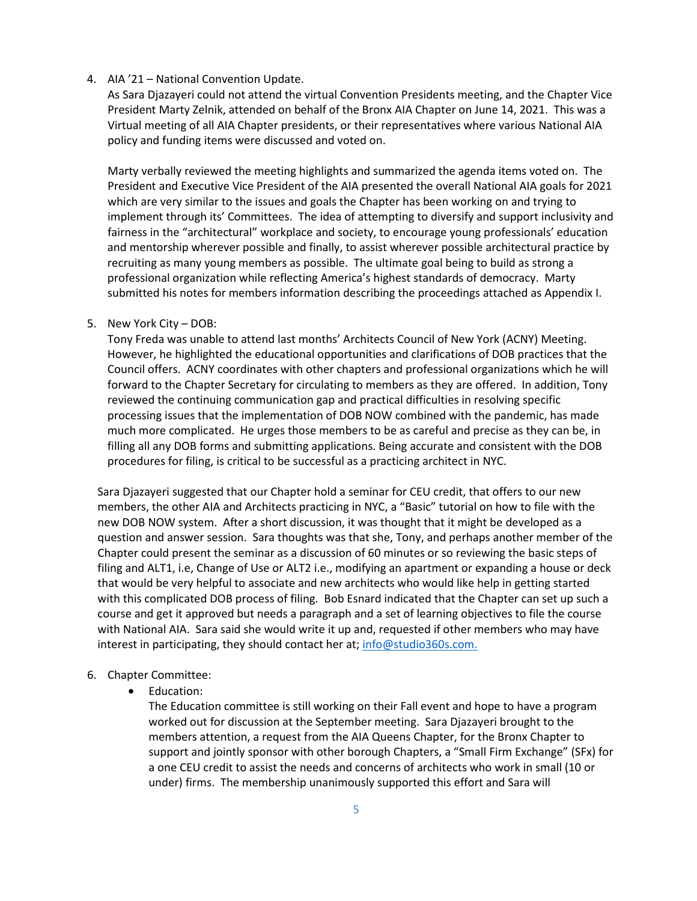#### 4. AIA '21 – National Convention Update.

As Sara Djazayeri could not attend the virtual Convention Presidents meeting, and the Chapter Vice President Marty Zelnik, attended on behalf of the Bronx AIA Chapter on June 14, 2021. This was a Virtual meeting of all AIA Chapter presidents, or their representatives where various National AIA policy and funding items were discussed and voted on.

Marty verbally reviewed the meeting highlights and summarized the agenda items voted on. The President and Executive Vice President of the AIA presented the overall National AIA goals for 2021 which are very similar to the issues and goals the Chapter has been working on and trying to implement through its' Committees. The idea of attempting to diversify and support inclusivity and fairness in the "architectural" workplace and society, to encourage young professionals' education and mentorship wherever possible and finally, to assist wherever possible architectural practice by recruiting as many young members as possible. The ultimate goal being to build as strong a professional organization while reflecting America's highest standards of democracy. Marty submitted his notes for members information describing the proceedings attached as Appendix I.

#### 5. New York City – DOB:

Tony Freda was unable to attend last months' Architects Council of New York (ACNY) Meeting. However, he highlighted the educational opportunities and clarifications of DOB practices that the Council offers. ACNY coordinates with other chapters and professional organizations which he will forward to the Chapter Secretary for circulating to members as they are offered. In addition, Tony reviewed the continuing communication gap and practical difficulties in resolving specific processing issues that the implementation of DOB NOW combined with the pandemic, has made much more complicated. He urges those members to be as careful and precise as they can be, in filling all any DOB forms and submitting applications. Being accurate and consistent with the DOB procedures for filing, is critical to be successful as a practicing architect in NYC.

Sara Djazayeri suggested that our Chapter hold a seminar for CEU credit, that offers to our new members, the other AIA and Architects practicing in NYC, a "Basic" tutorial on how to file with the new DOB NOW system. After a short discussion, it was thought that it might be developed as a question and answer session. Sara thoughts was that she, Tony, and perhaps another member of the Chapter could present the seminar as a discussion of 60 minutes or so reviewing the basic steps of filing and ALT1, i.e, Change of Use or ALT2 i.e., modifying an apartment or expanding a house or deck that would be very helpful to associate and new architects who would like help in getting started with this complicated DOB process of filing. Bob Esnard indicated that the Chapter can set up such a course and get it approved but needs a paragraph and a set of learning objectives to file the course with National AIA. Sara said she would write it up and, requested if other members who may have interest in participating, they should contact her at; info@studio360s.com.

#### 6. Chapter Committee:

• Education:

The Education committee is still working on their Fall event and hope to have a program worked out for discussion at the September meeting. Sara Djazayeri brought to the members attention, a request from the AIA Queens Chapter, for the Bronx Chapter to support and jointly sponsor with other borough Chapters, a "Small Firm Exchange" (SFx) for a one CEU credit to assist the needs and concerns of architects who work in small (10 or under) firms. The membership unanimously supported this effort and Sara will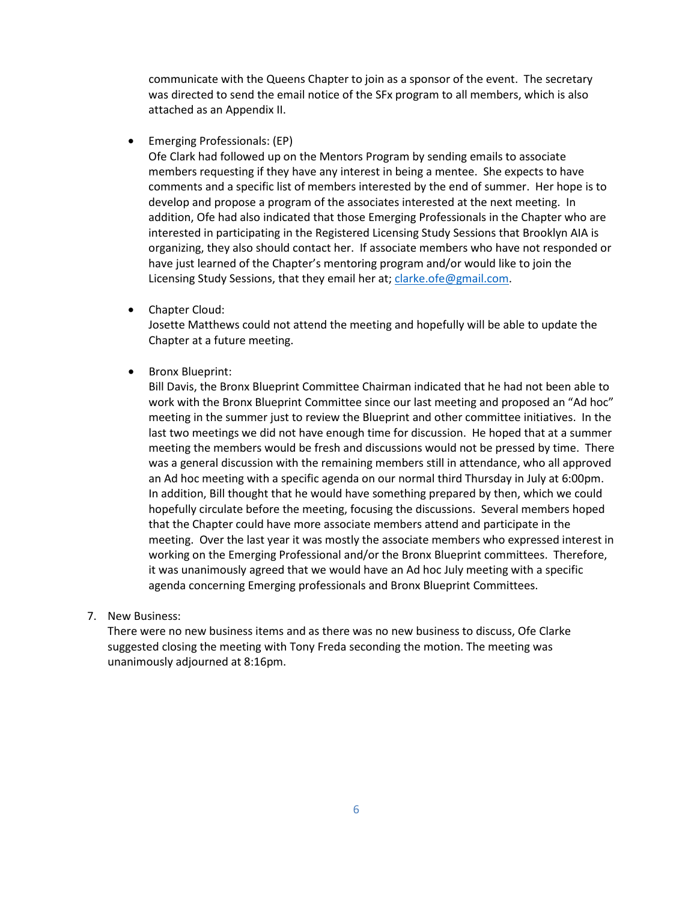communicate with the Queens Chapter to join as a sponsor of the event. The secretary was directed to send the email notice of the SFx program to all members, which is also attached as an Appendix II.

• Emerging Professionals: (EP)

Ofe Clark had followed up on the Mentors Program by sending emails to associate members requesting if they have any interest in being a mentee. She expects to have comments and a specific list of members interested by the end of summer. Her hope is to develop and propose a program of the associates interested at the next meeting. In addition, Ofe had also indicated that those Emerging Professionals in the Chapter who are interested in participating in the Registered Licensing Study Sessions that Brooklyn AIA is organizing, they also should contact her. If associate members who have not responded or have just learned of the Chapter's mentoring program and/or would like to join the Licensing Study Sessions, that they email her at; [clarke.ofe@gmail.com.](mailto:clarke.ofe@gmail.com)

• Chapter Cloud:

Josette Matthews could not attend the meeting and hopefully will be able to update the Chapter at a future meeting.

• Bronx Blueprint:

Bill Davis, the Bronx Blueprint Committee Chairman indicated that he had not been able to work with the Bronx Blueprint Committee since our last meeting and proposed an "Ad hoc" meeting in the summer just to review the Blueprint and other committee initiatives. In the last two meetings we did not have enough time for discussion. He hoped that at a summer meeting the members would be fresh and discussions would not be pressed by time. There was a general discussion with the remaining members still in attendance, who all approved an Ad hoc meeting with a specific agenda on our normal third Thursday in July at 6:00pm. In addition, Bill thought that he would have something prepared by then, which we could hopefully circulate before the meeting, focusing the discussions. Several members hoped that the Chapter could have more associate members attend and participate in the meeting. Over the last year it was mostly the associate members who expressed interest in working on the Emerging Professional and/or the Bronx Blueprint committees. Therefore, it was unanimously agreed that we would have an Ad hoc July meeting with a specific agenda concerning Emerging professionals and Bronx Blueprint Committees.

7. New Business:

There were no new business items and as there was no new business to discuss, Ofe Clarke suggested closing the meeting with Tony Freda seconding the motion. The meeting was unanimously adjourned at 8:16pm.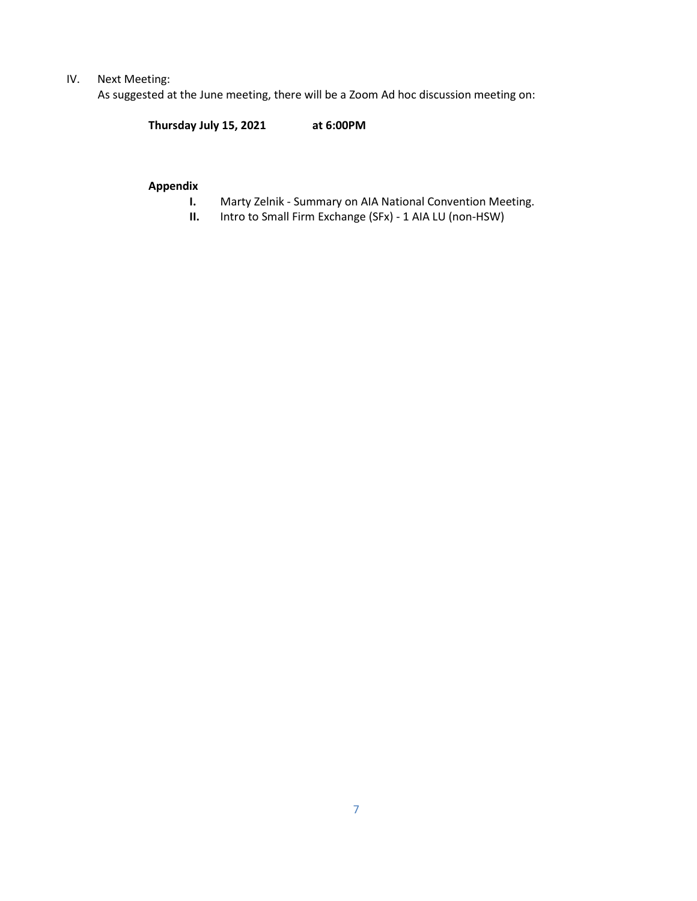#### IV. Next Meeting:

As suggested at the June meeting, there will be a Zoom Ad hoc discussion meeting on:

# **Thursday July 15, 2021 at 6:00PM**

# **Appendix**

- **I.** Marty Zelnik Summary on AIA National Convention Meeting.
- **II.** Intro to Small Firm Exchange (SFx) 1 AIA LU (non-HSW)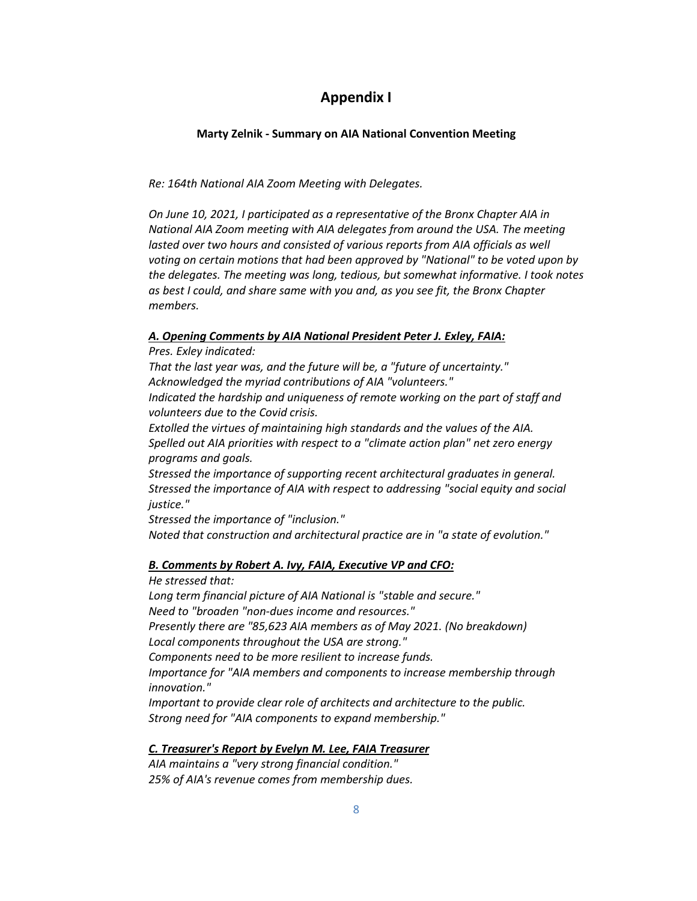# **Appendix I**

#### **Marty Zelnik - Summary on AIA National Convention Meeting**

*Re: 164th National AIA Zoom Meeting with Delegates.*

*On June 10, 2021, I participated as a representative of the Bronx Chapter AIA in National AIA Zoom meeting with AIA delegates from around the USA. The meeting lasted over two hours and consisted of various reports from AIA officials as well voting on certain motions that had been approved by "National" to be voted upon by the delegates. The meeting was long, tedious, but somewhat informative. I took notes as best I could, and share same with you and, as you see fit, the Bronx Chapter members.*

## *A. Opening Comments by AIA National President Peter J. Exley, FAIA:*

*Pres. Exley indicated:*

*That the last year was, and the future will be, a "future of uncertainty." Acknowledged the myriad contributions of AIA "volunteers." Indicated the hardship and uniqueness of remote working on the part of staff and* 

*volunteers due to the Covid crisis.*

*Extolled the virtues of maintaining high standards and the values of the AIA. Spelled out AIA priorities with respect to a "climate action plan" net zero energy programs and goals.*

*Stressed the importance of supporting recent architectural graduates in general. Stressed the importance of AIA with respect to addressing "social equity and social justice."*

*Stressed the importance of "inclusion." Noted that construction and architectural practice are in "a state of evolution."*

## *B. Comments by Robert A. Ivy, FAIA, Executive VP and CFO:*

*He stressed that:*

*Long term financial picture of AIA National is "stable and secure." Need to "broaden "non-dues income and resources." Presently there are "85,623 AIA members as of May 2021. (No breakdown) Local components throughout the USA are strong." Components need to be more resilient to increase funds. Importance for "AIA members and components to increase membership through innovation." Important to provide clear role of architects and architecture to the public. Strong need for "AIA components to expand membership."*

## *C. Treasurer's Report by Evelyn M. Lee, FAIA Treasurer*

*AIA maintains a "very strong financial condition." 25% of AIA's revenue comes from membership dues.*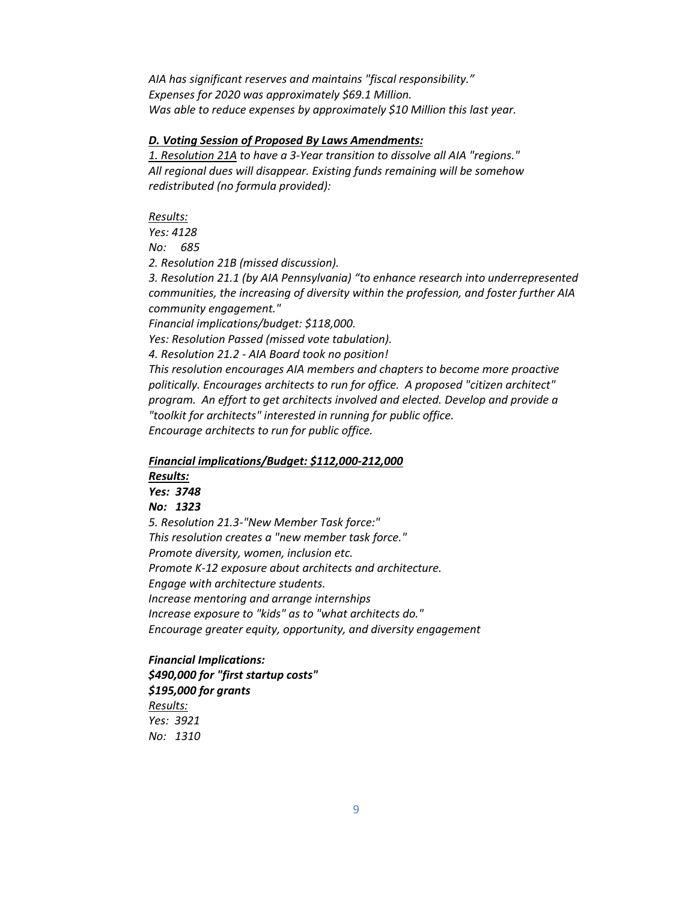*AIA has significant reserves and maintains "fiscal responsibility." Expenses for 2020 was approximately \$69.1 Million. Was able to reduce expenses by approximately \$10 Million this last year.*

#### *D. Voting Session of Proposed By Laws Amendments:*

*1. Resolution 21A to have a 3-Year transition to dissolve all AIA "regions." All regional dues will disappear. Existing funds remaining will be somehow redistributed (no formula provided):*

#### *Results:*

*Yes: 4128*

*No: 685*

*2. Resolution 21B (missed discussion).*

*3. Resolution 21.1 (by AIA Pennsylvania) "to enhance research into underrepresented communities, the increasing of diversity within the profession, and foster further AIA community engagement."*

*Financial implications/budget: \$118,000.*

*Yes: Resolution Passed (missed vote tabulation).*

*4. Resolution 21.2 - AIA Board took no position!*

*This resolution encourages AIA members and chapters to become more proactive politically. Encourages architects to run for office. A proposed "citizen architect" program. An effort to get architects involved and elected. Develop and provide a "toolkit for architects" interested in running for public office. Encourage architects to run for public office.*

#### *Financial implications/Budget: \$112,000-212,000*

*Yes: 3748 Results: No: 1323 5. Resolution 21.3-"New Member Task force:" This resolution creates a "new member task force." Promote diversity, women, inclusion etc. Promote K-12 exposure about architects and architecture. Engage with architecture students. Increase mentoring and arrange internships Increase exposure to "kids" as to "what architects do." Encourage greater equity, opportunity, and diversity engagement*

*Financial Implications: \$490,000 for "first startup costs" \$195,000 for grants Yes: 3921 Results: No: 1310*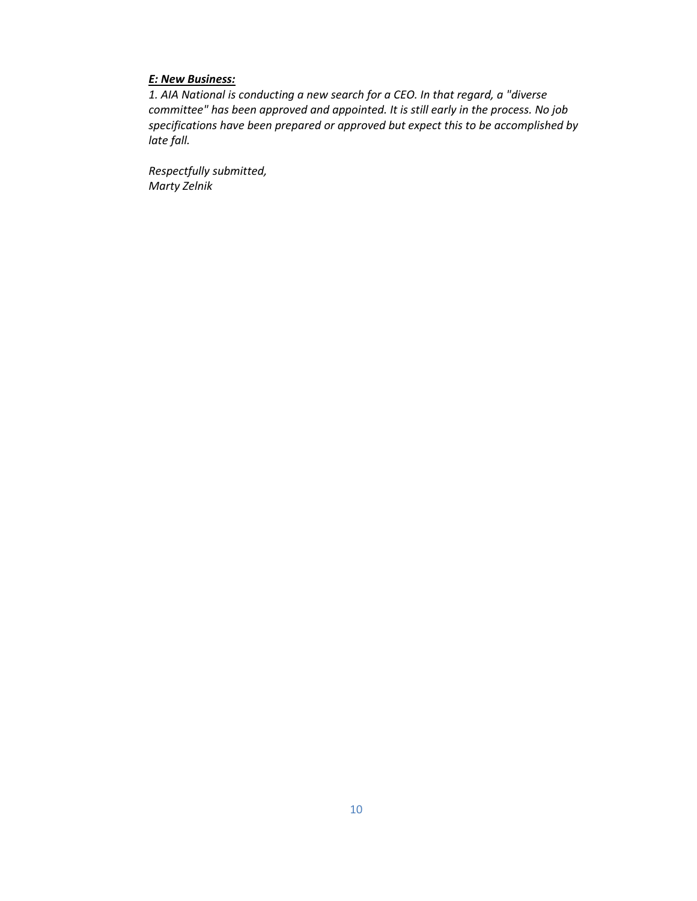## *E: New Business:*

*1. AIA National is conducting a new search for a CEO. In that regard, a "diverse committee" has been approved and appointed. It is still early in the process. No job specifications have been prepared or approved but expect this to be accomplished by late fall.*

*Respectfully submitted, Marty Zelnik*